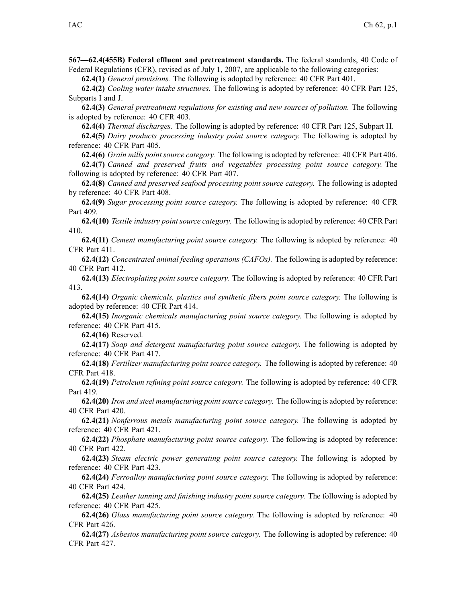**567—62.4(455B) Federal effluent and pretreatment standards.** The federal standards, 40 Code of Federal Regulations (CFR), revised as of July 1, 2007, are applicable to the following categories:

**62.4(1)** *General provisions.* The following is adopted by reference: 40 CFR Part 401.

**62.4(2)** *Cooling water intake structures.* The following is adopted by reference: 40 CFR Part 125, Subparts I and J.

**62.4(3)** *General pretreatment regulations for existing and new sources of pollution.* The following is adopted by reference: 40 CFR 403.

**62.4(4)** *Thermal discharges.* The following is adopted by reference: 40 CFR Part 125, Subpart H.

**62.4(5)** *Dairy products processing industry point source category.* The following is adopted by reference: 40 CFR Part 405.

**62.4(6)** *Grain mills point source category.* The following is adopted by reference: 40 CFR Part 406.

**62.4(7)** *Canned and preserved fruits and vegetables processing point source category.* The following is adopted by reference: 40 CFR Part 407.

**62.4(8)** *Canned and preserved seafood processing point source category.* The following is adopted by reference: 40 CFR Part 408.

**62.4(9)** *Sugar processing point source category.* The following is adopted by reference: 40 CFR Part 409.

**62.4(10)** *Textile industry point source category.* The following is adopted by reference: 40 CFR Part 410.

**62.4(11)** *Cement manufacturing point source category.* The following is adopted by reference: 40 CFR Part 411.

**62.4(12)** *Concentrated animal feeding operations (CAFOs).* The following is adopted by reference: 40 CFR Part 412.

**62.4(13)** *Electroplating point source category.* The following is adopted by reference: 40 CFR Part 413.

**62.4(14)** *Organic chemicals, plastics and synthetic fibers point source category.* The following is adopted by reference: 40 CFR Part 414.

**62.4(15)** *Inorganic chemicals manufacturing point source category.* The following is adopted by reference: 40 CFR Part 415.

**62.4(16)** Reserved.

**62.4(17)** *Soap and detergent manufacturing point source category.* The following is adopted by reference: 40 CFR Part 417.

**62.4(18)** *Fertilizer manufacturing point source category.* The following is adopted by reference: 40 CFR Part 418.

**62.4(19)** *Petroleum refining point source category.* The following is adopted by reference: 40 CFR Part 419.

**62.4(20)** *Iron and steel manufacturing pointsource category.* The following is adopted by reference: 40 CFR Part 420.

**62.4(21)** *Nonferrous metals manufacturing point source category.* The following is adopted by reference: 40 CFR Part 421.

**62.4(22)** *Phosphate manufacturing point source category.* The following is adopted by reference: 40 CFR Part 422.

**62.4(23)** *Steam electric power generating point source category.* The following is adopted by reference: 40 CFR Part 423.

**62.4(24)** *Ferroalloy manufacturing point source category.* The following is adopted by reference: 40 CFR Part 424.

**62.4(25)** *Leather tanning and finishing industry point source category.* The following is adopted by reference: 40 CFR Part 425.

**62.4(26)** *Glass manufacturing point source category.* The following is adopted by reference: 40 CFR Part 426.

**62.4(27)** *Asbestos manufacturing point source category.* The following is adopted by reference: 40 CFR Part 427.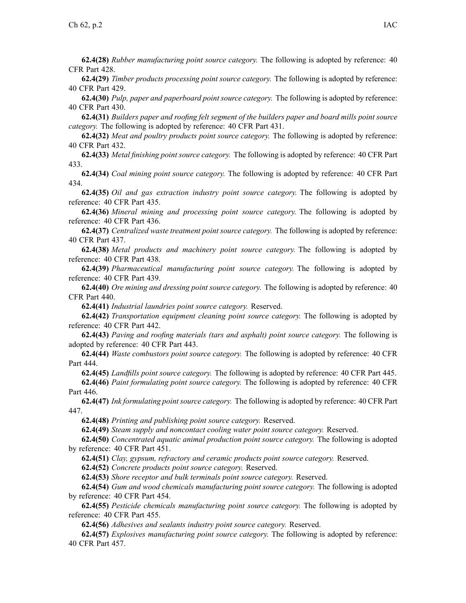**62.4(28)** *Rubber manufacturing point source category.* The following is adopted by reference: 40 CFR Part 428.

**62.4(29)** *Timber products processing point source category.* The following is adopted by reference: 40 CFR Part 429.

**62.4(30)** *Pulp, paper and paperboard point source category.* The following is adopted by reference: 40 CFR Part 430.

62.4(31) Builders paper and roofing felt segment of the builders paper and board mills point source *category.* The following is adopted by reference: 40 CFR Part 431.

**62.4(32)** *Meat and poultry products point source category.* The following is adopted by reference: 40 CFR Part 432.

**62.4(33)** *Metal finishing point source category.* The following is adopted by reference: 40 CFR Part 433.

**62.4(34)** *Coal mining point source category.* The following is adopted by reference: 40 CFR Part 434.

**62.4(35)** *Oil and gas extraction industry point source category.* The following is adopted by reference: 40 CFR Part 435.

**62.4(36)** *Mineral mining and processing point source category.* The following is adopted by reference: 40 CFR Part 436.

**62.4(37)** *Centralized waste treatment point source category.* The following is adopted by reference: 40 CFR Part 437.

**62.4(38)** *Metal products and machinery point source category.* The following is adopted by reference: 40 CFR Part 438.

**62.4(39)** *Pharmaceutical manufacturing point source category.* The following is adopted by reference: 40 CFR Part 439.

**62.4(40)** *Ore mining and dressing point source category.* The following is adopted by reference: 40 CFR Part 440.

**62.4(41)** *Industrial laundries point source category.* Reserved.

**62.4(42)** *Transportation equipment cleaning point source category.* The following is adopted by reference: 40 CFR Part 442.

**62.4(43)** *Paving and roofing materials (tars and asphalt) point source category.* The following is adopted by reference: 40 CFR Part 443.

**62.4(44)** *Waste combustors point source category.* The following is adopted by reference: 40 CFR Part 444.

**62.4(45)** *Landfills point source category.* The following is adopted by reference: 40 CFR Part 445. **62.4(46)** *Paint formulating point source category.* The following is adopted by reference: 40 CFR Part 446.

**62.4(47)** *Ink formulating pointsource category.* The following is adopted by reference: 40 CFR Part 447.

**62.4(48)** *Printing and publishing point source category.* Reserved.

**62.4(49)** *Steam supply and noncontact cooling water point source category.* Reserved.

**62.4(50)** *Concentrated aquatic animal production point source category.* The following is adopted by reference: 40 CFR Part 451.

**62.4(51)** *Clay, gypsum, refractory and ceramic products point source category.* Reserved.

**62.4(52)** *Concrete products point source category.* Reserved.

**62.4(53)** *Shore receptor and bulk terminals point source category.* Reserved.

**62.4(54)** *Gum and wood chemicals manufacturing point source category.* The following is adopted by reference: 40 CFR Part 454.

**62.4(55)** *Pesticide chemicals manufacturing point source category.* The following is adopted by reference: 40 CFR Part 455.

**62.4(56)** *Adhesives and sealants industry point source category.* Reserved.

**62.4(57)** *Explosives manufacturing point source category.* The following is adopted by reference: 40 CFR Part 457.